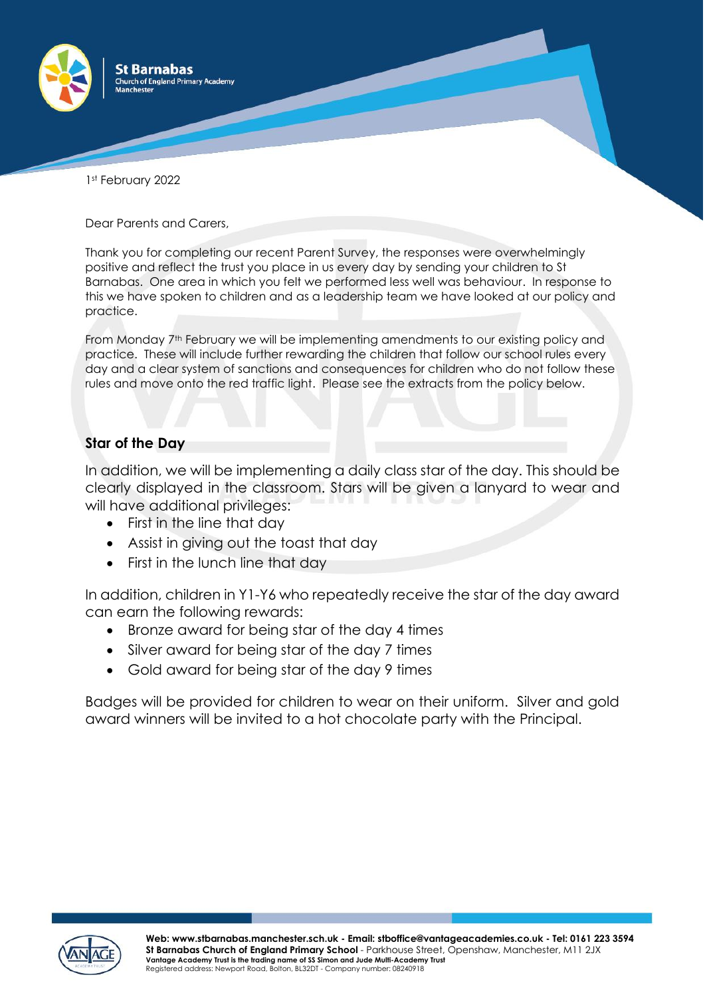

1st February 2022

Dear Parents and Carers,

Thank you for completing our recent Parent Survey, the responses were overwhelmingly positive and reflect the trust you place in us every day by sending your children to St Barnabas. One area in which you felt we performed less well was behaviour. In response to this we have spoken to children and as a leadership team we have looked at our policy and practice.

From Monday 7<sup>th</sup> February we will be implementing amendments to our existing policy and practice. These will include further rewarding the children that follow our school rules every day and a clear system of sanctions and consequences for children who do not follow these rules and move onto the red traffic light. Please see the extracts from the policy below.

## **Star of the Day**

In addition, we will be implementing a daily class star of the day. This should be clearly displayed in the classroom. Stars will be given a lanyard to wear and will have additional privileges:

- First in the line that day
- Assist in giving out the toast that day
- First in the lunch line that day

In addition, children in Y1-Y6 who repeatedly receive the star of the day award can earn the following rewards:

- Bronze award for being star of the day 4 times
- Silver award for being star of the day 7 times
- Gold award for being star of the day 9 times

Badges will be provided for children to wear on their uniform. Silver and gold award winners will be invited to a hot chocolate party with the Principal.

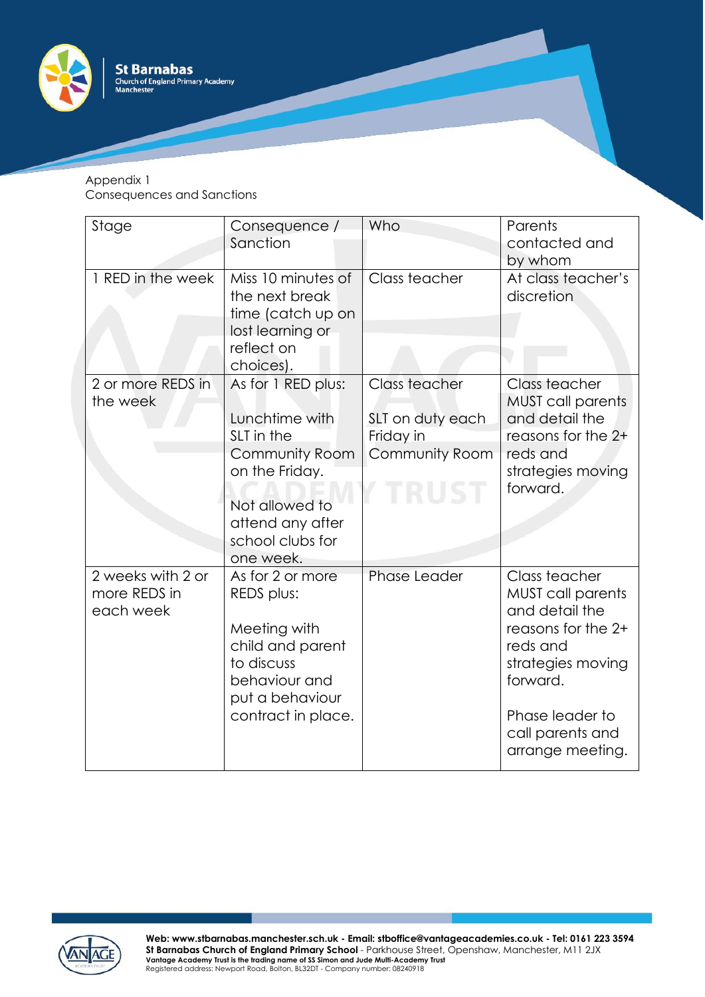

## Appendix 1 Consequences and Sanctions

| Stage                                          | Consequence /<br>Sanction                                                                                                                                            | Who                                                              | Parents<br>contacted and<br>by whom                                                                                                                                                       |
|------------------------------------------------|----------------------------------------------------------------------------------------------------------------------------------------------------------------------|------------------------------------------------------------------|-------------------------------------------------------------------------------------------------------------------------------------------------------------------------------------------|
| 1 RED in the week                              | Miss 10 minutes of<br>the next break<br>time (catch up on<br>lost learning or<br>reflect on<br>choices).                                                             | Class teacher                                                    | At class teacher's<br>discretion                                                                                                                                                          |
| 2 or more REDS in<br>the week                  | As for 1 RED plus:<br>Lunchtime with<br>SLT in the<br><b>Community Room</b><br>on the Friday.<br>Not allowed to<br>attend any after<br>school clubs for<br>one week. | Class teacher<br>SLT on duty each<br>Friday in<br>Community Room | Class teacher<br><b>MUST call parents</b><br>and detail the<br>reasons for the 2+<br>reds and<br>strategies moving<br>forward.                                                            |
| 2 weeks with 2 or<br>more REDS in<br>each week | As for 2 or more<br>REDS plus:<br>Meeting with<br>child and parent<br>to discuss<br>behaviour and<br>put a behaviour<br>contract in place.                           | <b>Phase Leader</b>                                              | Class teacher<br><b>MUST call parents</b><br>and detail the<br>reasons for the 2+<br>reds and<br>strategies moving<br>forward.<br>Phase leader to<br>call parents and<br>arrange meeting. |